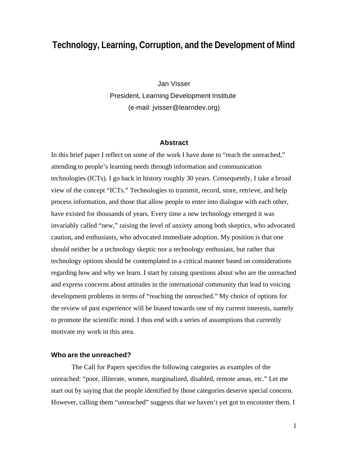# **Technology, Learning, Corruption, and the Development of Mind**

Jan Visser President, Learning Development Institute (e-mail: jvisser@learndev.org)

#### **Abstract**

In this brief paper I reflect on some of the work I have done to "reach the unreached," attending to people's learning needs through information and communication technologies (ICTs). I go back in history roughly 30 years. Consequently, I take a broad view of the concept "ICTs." Technologies to transmit, record, store, retrieve, and help process information, and those that allow people to enter into dialogue with each other, have existed for thousands of years. Every time a new technology emerged it was invariably called "new," raising the level of anxiety among both skeptics, who advocated caution, and enthusiasts, who advocated immediate adoption. My position is that one should neither be a technology skeptic nor a technology enthusiast, but rather that technology options should be contemplated in a critical manner based on considerations regarding how and why we learn. I start by raising questions about who are the unreached and express concerns about attitudes in the international community that lead to voicing development problems in terms of "reaching the unreached." My choice of options for the review of past experience will be biased towards one of my current interests, namely to promote the scientific mind. I thus end with a series of assumptions that currently motivate my work in this area.

#### **Who are the unreached?**

The Call for Papers specifies the following categories as examples of the unreached: "poor, illiterate, women, marginalized, disabled, remote areas, etc." Let me start out by saying that the people identified by those categories deserve special concern. However, calling them "unreached" suggests that we haven't yet got to encounter them. I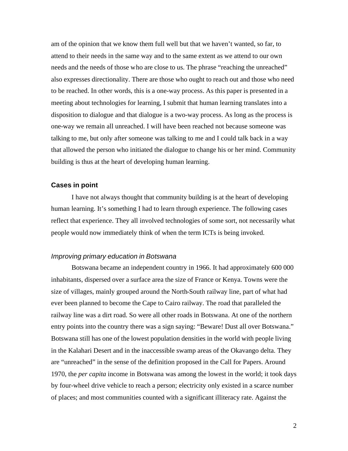am of the opinion that we know them full well but that we haven't wanted, so far, to attend to their needs in the same way and to the same extent as we attend to our own needs and the needs of those who are close to us. The phrase "reaching the unreached" also expresses directionality. There are those who ought to reach out and those who need to be reached. In other words, this is a one-way process. As this paper is presented in a meeting about technologies for learning, I submit that human learning translates into a disposition to dialogue and that dialogue is a two-way process. As long as the process is one-way we remain all unreached. I will have been reached not because someone was talking to me, but only after someone was talking to me and I could talk back in a way that allowed the person who initiated the dialogue to change his or her mind. Community building is thus at the heart of developing human learning.

## **Cases in point**

I have not always thought that community building is at the heart of developing human learning. It's something I had to learn through experience. The following cases reflect that experience. They all involved technologies of some sort, not necessarily what people would now immediately think of when the term ICTs is being invoked.

## *Improving primary education in Botswana*

Botswana became an independent country in 1966. It had approximately 600 000 inhabitants, dispersed over a surface area the size of France or Kenya. Towns were the size of villages, mainly grouped around the North-South railway line, part of what had ever been planned to become the Cape to Cairo railway. The road that paralleled the railway line was a dirt road. So were all other roads in Botswana. At one of the northern entry points into the country there was a sign saying: "Beware! Dust all over Botswana." Botswana still has one of the lowest population densities in the world with people living in the Kalahari Desert and in the inaccessible swamp areas of the Okavango delta. They are "unreached" in the sense of the definition proposed in the Call for Papers. Around 1970, the *per capita* income in Botswana was among the lowest in the world; it took days by four-wheel drive vehicle to reach a person; electricity only existed in a scarce number of places; and most communities counted with a significant illiteracy rate. Against the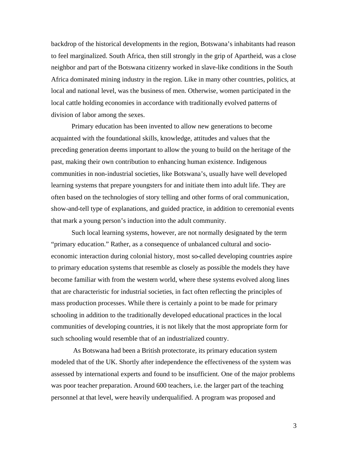backdrop of the historical developments in the region, Botswana's inhabitants had reason to feel marginalized. South Africa, then still strongly in the grip of Apartheid, was a close neighbor and part of the Botswana citizenry worked in slave-like conditions in the South Africa dominated mining industry in the region. Like in many other countries, politics, at local and national level, was the business of men. Otherwise, women participated in the local cattle holding economies in accordance with traditionally evolved patterns of division of labor among the sexes.

Primary education has been invented to allow new generations to become acquainted with the foundational skills, knowledge, attitudes and values that the preceding generation deems important to allow the young to build on the heritage of the past, making their own contribution to enhancing human existence. Indigenous communities in non-industrial societies, like Botswana's, usually have well developed learning systems that prepare youngsters for and initiate them into adult life. They are often based on the technologies of story telling and other forms of oral communication, show-and-tell type of explanations, and guided practice, in addition to ceremonial events that mark a young person's induction into the adult community.

Such local learning systems, however, are not normally designated by the term "primary education." Rather, as a consequence of unbalanced cultural and socioeconomic interaction during colonial history, most so-called developing countries aspire to primary education systems that resemble as closely as possible the models they have become familiar with from the western world, where these systems evolved along lines that are characteristic for industrial societies, in fact often reflecting the principles of mass production processes. While there is certainly a point to be made for primary schooling in addition to the traditionally developed educational practices in the local communities of developing countries, it is not likely that the most appropriate form for such schooling would resemble that of an industrialized country.

 As Botswana had been a British protectorate, its primary education system modeled that of the UK. Shortly after independence the effectiveness of the system was assessed by international experts and found to be insufficient. One of the major problems was poor teacher preparation. Around 600 teachers, i.e. the larger part of the teaching personnel at that level, were heavily underqualified. A program was proposed and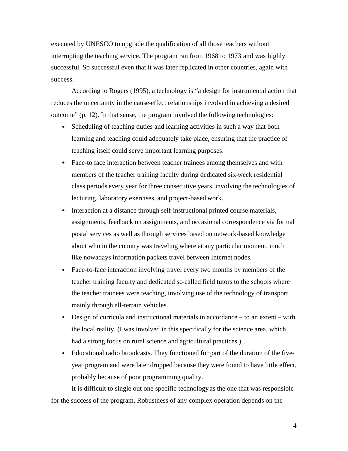executed by UNESCO to upgrade the qualification of all those teachers without interrupting the teaching service. The program ran from 1968 to 1973 and was highly successful. So successful even that it was later replicated in other countries, again with success.

According to Rogers (1995), a technology is "a design for instrumental action that reduces the uncertainty in the cause-effect relationships involved in achieving a desired outcome" (p. 12). In that sense, the program involved the following technologies:

- Scheduling of teaching duties and learning activities in such a way that both learning and teaching could adequately take place, ensuring that the practice of teaching itself could serve important learning purposes.
- Face-to face interaction between teacher trainees among themselves and with members of the teacher training faculty during dedicated six-week residential class periods every year for three consecutive years, involving the technologies of lecturing, laboratory exercises, and project-based work.
- Interaction at a distance through self-instructional printed course materials, assignments, feedback on assignments, and occasional correspondence via formal postal services as well as through services based on network-based knowledge about who in the country was traveling where at any particular moment, much like nowadays information packets travel between Internet nodes.
- Face-to-face interaction involving travel every two months by members of the teacher training faculty and dedicated so-called field tutors to the schools where the teacher trainees were teaching, involving use of the technology of transport mainly through all-terrain vehicles.
- Design of curricula and instructional materials in accordance  $-$  to an extent  $-$  with the local reality. (I was involved in this specifically for the science area, which had a strong focus on rural science and agricultural practices.)
- Educational radio broadcasts. They functioned for part of the duration of the fiveyear program and were later dropped because they were found to have little effect, probably because of poor programming quality.

It is difficult to single out one specific technology as the one that was responsible for the success of the program. Robustness of any complex operation depends on the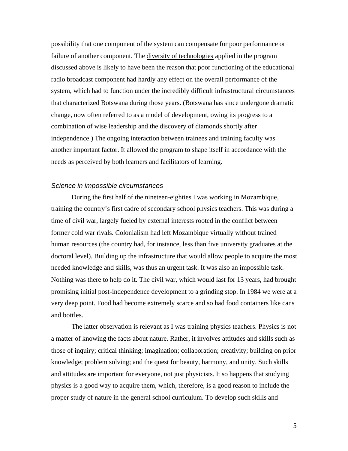possibility that one component of the system can compensate for poor performance or failure of another component. The diversity of technologies applied in the program discussed above is likely to have been the reason that poor functioning of the educational radio broadcast component had hardly any effect on the overall performance of the system, which had to function under the incredibly difficult infrastructural circumstances that characterized Botswana during those years. (Botswana has since undergone dramatic change, now often referred to as a model of development, owing its progress to a combination of wise leadership and the discovery of diamonds shortly after independence.) The ongoing interaction between trainees and training faculty was another important factor. It allowed the program to shape itself in accordance with the needs as perceived by both learners and facilitators of learning.

# *Science in impossible circumstances*

During the first half of the nineteen-eighties I was working in Mozambique, training the country's first cadre of secondary school physics teachers. This was during a time of civil war, largely fueled by external interests rooted in the conflict between former cold war rivals. Colonialism had left Mozambique virtually without trained human resources (the country had, for instance, less than five university graduates at the doctoral level). Building up the infrastructure that would allow people to acquire the most needed knowledge and skills, was thus an urgent task. It was also an impossible task. Nothing was there to help do it. The civil war, which would last for 13 years, had brought promising initial post-independence development to a grinding stop. In 1984 we were at a very deep point. Food had become extremely scarce and so had food containers like cans and bottles.

The latter observation is relevant as I was training physics teachers. Physics is not a matter of knowing the facts about nature. Rather, it involves attitudes and skills such as those of inquiry; critical thinking; imagination; collaboration; creativity; building on prior knowledge; problem solving; and the quest for beauty, harmony, and unity. Such skills and attitudes are important for everyone, not just physicists. It so happens that studying physics is a good way to acquire them, which, therefore, is a good reason to include the proper study of nature in the general school curriculum. To develop such skills and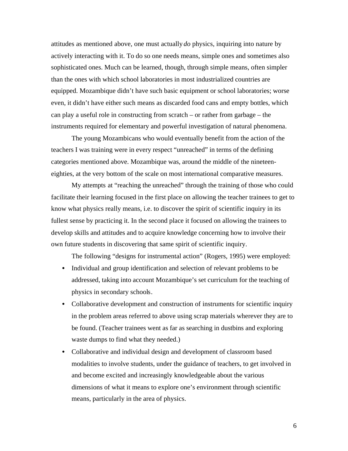attitudes as mentioned above, one must actually *do* physics, inquiring into nature by actively interacting with it. To do so one needs means, simple ones and sometimes also sophisticated ones. Much can be learned, though, through simple means, often simpler than the ones with which school laboratories in most industrialized countries are equipped. Mozambique didn't have such basic equipment or school laboratories; worse even, it didn't have either such means as discarded food cans and empty bottles, which can play a useful role in constructing from scratch – or rather from garbage – the instruments required for elementary and powerful investigation of natural phenomena.

The young Mozambicans who would eventually benefit from the action of the teachers I was training were in every respect "unreached" in terms of the defining categories mentioned above. Mozambique was, around the middle of the nineteeneighties, at the very bottom of the scale on most international comparative measures.

My attempts at "reaching the unreached" through the training of those who could facilitate their learning focused in the first place on allowing the teacher trainees to get to know what physics really means, i.e. to discover the spirit of scientific inquiry in its fullest sense by practicing it. In the second place it focused on allowing the trainees to develop skills and attitudes and to acquire knowledge concerning how to involve their own future students in discovering that same spirit of scientific inquiry.

The following "designs for instrumental action" (Rogers, 1995) were employed:

- Individual and group identification and selection of relevant problems to be addressed, taking into account Mozambique's set curriculum for the teaching of physics in secondary schools.
- Collaborative development and construction of instruments for scientific inquiry in the problem areas referred to above using scrap materials wherever they are to be found. (Teacher trainees went as far as searching in dustbins and exploring waste dumps to find what they needed.)
- Collaborative and individual design and development of classroom based modalities to involve students, under the guidance of teachers, to get involved in and become excited and increasingly knowledgeable about the various dimensions of what it means to explore one's environment through scientific means, particularly in the area of physics.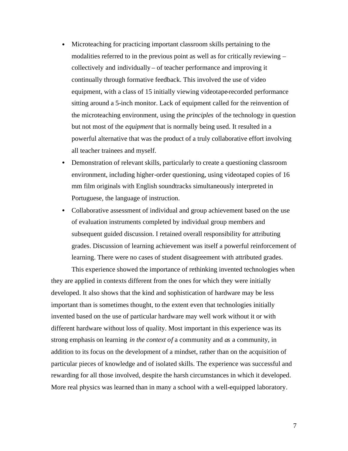- Microteaching for practicing important classroom skills pertaining to the modalities referred to in the previous point as well as for critically reviewing – collectively and individually – of teacher performance and improving it continually through formative feedback. This involved the use of video equipment, with a class of 15 initially viewing videotape-recorded performance sitting around a 5-inch monitor. Lack of equipment called for the reinvention of the microteaching environment, using the *principles* of the technology in question but not most of the *equipment* that is normally being used. It resulted in a powerful alternative that was the product of a truly collaborative effort involving all teacher trainees and myself.
- Demonstration of relevant skills, particularly to create a questioning classroom environment, including higher-order questioning, using videotaped copies of 16 mm film originals with English soundtracks simultaneously interpreted in Portuguese, the language of instruction.
- Collaborative assessment of individual and group achievement based on the use of evaluation instruments completed by individual group members and subsequent guided discussion. I retained overall responsibility for attributing grades. Discussion of learning achievement was itself a powerful reinforcement of learning. There were no cases of student disagreement with attributed grades.

This experience showed the importance of rethinking invented technologies when they are applied in contexts different from the ones for which they were initially developed. It also shows that the kind and sophistication of hardware may be less important than is sometimes thought, to the extent even that technologies initially invented based on the use of particular hardware may well work without it or with different hardware without loss of quality. Most important in this experience was its strong emphasis on learning *in the context of* a community and *as* a community, in addition to its focus on the development of a mindset, rather than on the acquisition of particular pieces of knowledge and of isolated skills. The experience was successful and rewarding for all those involved, despite the harsh circumstances in which it developed. More real physics was learned than in many a school with a well-equipped laboratory.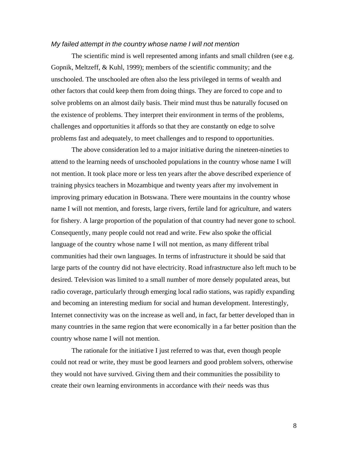## *My failed attempt in the country whose name I will not mention*

The scientific mind is well represented among infants and small children (see e.g. Gopnik, Meltzeff, & Kuhl, 1999); members of the scientific community; and the unschooled. The unschooled are often also the less privileged in terms of wealth and other factors that could keep them from doing things. They are forced to cope and to solve problems on an almost daily basis. Their mind must thus be naturally focused on the existence of problems. They interpret their environment in terms of the problems, challenges and opportunities it affords so that they are constantly on edge to solve problems fast and adequately, to meet challenges and to respond to opportunities.

The above consideration led to a major initiative during the nineteen-nineties to attend to the learning needs of unschooled populations in the country whose name I will not mention. It took place more or less ten years after the above described experience of training physics teachers in Mozambique and twenty years after my involvement in improving primary education in Botswana. There were mountains in the country whose name I will not mention, and forests, large rivers, fertile land for agriculture, and waters for fishery. A large proportion of the population of that country had never gone to school. Consequently, many people could not read and write. Few also spoke the official language of the country whose name I will not mention, as many different tribal communities had their own languages. In terms of infrastructure it should be said that large parts of the country did not have electricity. Road infrastructure also left much to be desired. Television was limited to a small number of more densely populated areas, but radio coverage, particularly through emerging local radio stations, was rapidly expanding and becoming an interesting medium for social and human development. Interestingly, Internet connectivity was on the increase as well and, in fact, far better developed than in many countries in the same region that were economically in a far better position than the country whose name I will not mention.

The rationale for the initiative I just referred to was that, even though people could not read or write, they must be good learners and good problem solvers, otherwise they would not have survived. Giving them and their communities the possibility to create their own learning environments in accordance with *their* needs was thus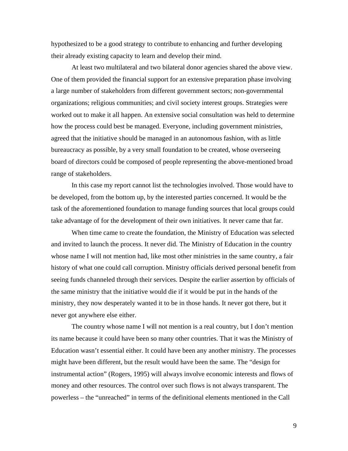hypothesized to be a good strategy to contribute to enhancing and further developing their already existing capacity to learn and develop their mind.

At least two multilateral and two bilateral donor agencies shared the above view. One of them provided the financial support for an extensive preparation phase involving a large number of stakeholders from different government sectors; non-governmental organizations; religious communities; and civil society interest groups. Strategies were worked out to make it all happen. An extensive social consultation was held to determine how the process could best be managed. Everyone, including government ministries, agreed that the initiative should be managed in an autonomous fashion, with as little bureaucracy as possible, by a very small foundation to be created, whose overseeing board of directors could be composed of people representing the above-mentioned broad range of stakeholders.

In this case my report cannot list the technologies involved. Those would have to be developed, from the bottom up, by the interested parties concerned. It would be the task of the aforementioned foundation to manage funding sources that local groups could take advantage of for the development of their own initiatives. It never came that far.

When time came to create the foundation, the Ministry of Education was selected and invited to launch the process. It never did. The Ministry of Education in the country whose name I will not mention had, like most other ministries in the same country, a fair history of what one could call corruption. Ministry officials derived personal benefit from seeing funds channeled through their services. Despite the earlier assertion by officials of the same ministry that the initiative would die if it would be put in the hands of the ministry, they now desperately wanted it to be in those hands. It never got there, but it never got anywhere else either.

The country whose name I will not mention is a real country, but I don't mention its name because it could have been so many other countries. That it was the Ministry of Education wasn't essential either. It could have been any another ministry. The processes might have been different, but the result would have been the same. The "design for instrumental action" (Rogers, 1995) will always involve economic interests and flows of money and other resources. The control over such flows is not always transparent. The powerless – the "unreached" in terms of the definitional elements mentioned in the Call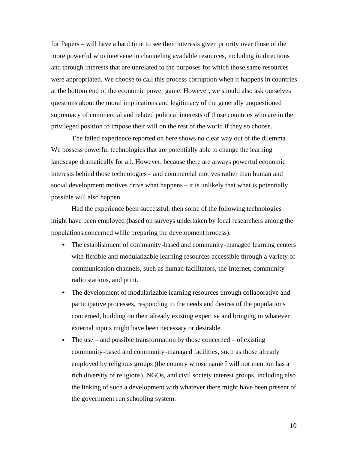for Papers – will have a hard time to see their interests given priority over those of the more powerful who intervene in channeling available resources, including in directions and through interests that are unrelated to the purposes for which those same resources were appropriated. We choose to call this process corruption when it happens in countries at the bottom end of the economic power game. However, we should also ask ourselves questions about the moral implications and legitimacy of the generally unquestioned supremacy of commercial and related political interests of those countries who are in the privileged position to impose their will on the rest of the world if they so choose.

The failed experience reported on here shows no clear way out of the dilemma. We possess powerful technologies that are potentially able to change the learning landscape dramatically for all. However, because there are always powerful economic interests behind those technologies – and commercial motives rather than human and social development motives drive what happens – it is unlikely that what is potentially possible will also happen.

Had the experience been successful, then some of the following technologies might have been employed (based on surveys undertaken by local researchers among the populations concerned while preparing the development process):

- The establishment of community-based and community-managed learning centers with flexible and modularizable learning resources accessible through a variety of communication channels, such as human facilitators, the Internet, community radio stations, and print.
- The development of modularizable learning resources through collaborative and participative processes, responding to the needs and desires of the populations concerned, building on their already existing expertise and bringing in whatever external inputs might have been necessary or desirable.
- The use and possible transformation by those concerned of existing community-based and community-managed facilities, such as those already employed by religious groups (the country whose name I will not mention has a rich diversity of religions), NGOs, and civil society interest groups, including also the linking of such a development with whatever there might have been present of the government run schooling system.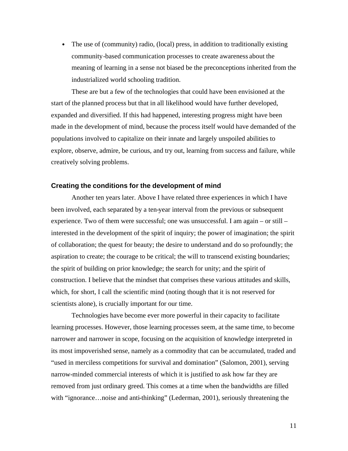• The use of (community) radio, (local) press, in addition to traditionally existing community-based communication processes to create awareness about the meaning of learning in a sense not biased be the preconceptions inherited from the industrialized world schooling tradition.

These are but a few of the technologies that could have been envisioned at the start of the planned process but that in all likelihood would have further developed, expanded and diversified. If this had happened, interesting progress might have been made in the development of mind, because the process itself would have demanded of the populations involved to capitalize on their innate and largely unspoiled abilities to explore, observe, admire, be curious, and try out, learning from success and failure, while creatively solving problems.

#### **Creating the conditions for the development of mind**

Another ten years later. Above I have related three experiences in which I have been involved, each separated by a ten-year interval from the previous or subsequent experience. Two of them were successful; one was unsuccessful. I am again – or still – interested in the development of the spirit of inquiry; the power of imagination; the spirit of collaboration; the quest for beauty; the desire to understand and do so profoundly; the aspiration to create; the courage to be critical; the will to transcend existing boundaries; the spirit of building on prior knowledge; the search for unity; and the spirit of construction. I believe that the mindset that comprises these various attitudes and skills, which, for short, I call the scientific mind (noting though that it is not reserved for scientists alone), is crucially important for our time.

Technologies have become ever more powerful in their capacity to facilitate learning processes. However, those learning processes seem, at the same time, to become narrower and narrower in scope, focusing on the acquisition of knowledge interpreted in its most impoverished sense, namely as a commodity that can be accumulated, traded and "used in merciless competitions for survival and domination" (Salomon, 2001), serving narrow-minded commercial interests of which it is justified to ask how far they are removed from just ordinary greed. This comes at a time when the bandwidths are filled with "ignorance…noise and anti-thinking" (Lederman, 2001), seriously threatening the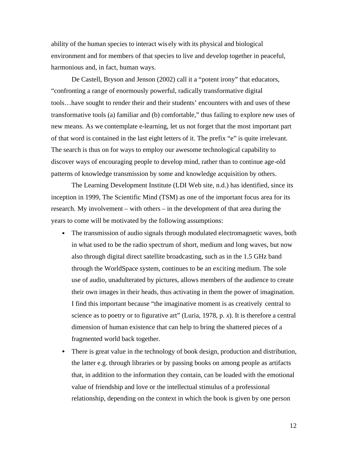ability of the human species to interact wis ely with its physical and biological environment and for members of that species to live and develop together in peaceful, harmonious and, in fact, human ways.

De Castell, Bryson and Jenson (2002) call it a "potent irony" that educators, "confronting a range of enormously powerful, radically transformative digital tools…have sought to render their and their students' encounters with and uses of these transformative tools (a) familiar and (b) comfortable," thus failing to explore new uses of new means. As we contemplate e-learning, let us not forget that the most important part of that word is contained in the last eight letters of it. The prefix "e" is quite irrelevant. The search is thus on for ways to employ our awesome technological capability to discover ways of encouraging people to develop mind, rather than to continue age-old patterns of knowledge transmission by some and knowledge acquisition by others.

The Learning Development Institute (LDI Web site, n.d.) has identified, since its inception in 1999, The Scientific Mind (TSM) as one of the important focus area for its research. My involvement – with others – in the development of that area during the years to come will be motivated by the following assumptions:

- The transmission of audio signals through modulated electromagnetic waves, both in what used to be the radio spectrum of short, medium and long waves, but now also through digital direct satellite broadcasting, such as in the 1.5 GHz band through the WorldSpace system, continues to be an exciting medium. The sole use of audio, unadulterated by pictures, allows members of the audience to create their own images in their heads, thus activating in them the power of imagination. I find this important because "the imaginative moment is as creatively central to science as to poetry or to figurative art" (Luria, 1978, p. *x*). It is therefore a central dimension of human existence that can help to bring the shattered pieces of a fragmented world back together.
- There is great value in the technology of book design, production and distribution, the latter e.g. through libraries or by passing books on among people as artifacts that, in addition to the information they contain, can be loaded with the emotional value of friendship and love or the intellectual stimulus of a professional relationship, depending on the context in which the book is given by one person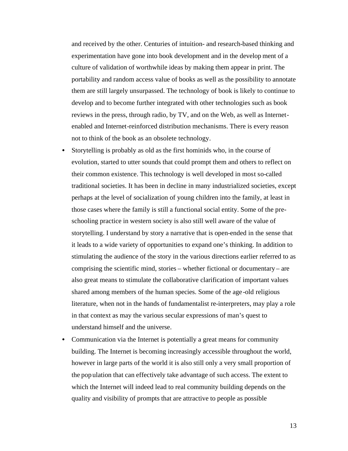and received by the other. Centuries of intuition- and research-based thinking and experimentation have gone into book development and in the develop ment of a culture of validation of worthwhile ideas by making them appear in print. The portability and random access value of books as well as the possibility to annotate them are still largely unsurpassed. The technology of book is likely to continue to develop and to become further integrated with other technologies such as book reviews in the press, through radio, by TV, and on the Web, as well as Internetenabled and Internet-reinforced distribution mechanisms. There is every reason not to think of the book as an obsolete technology.

- Storytelling is probably as old as the first hominids who, in the course of evolution, started to utter sounds that could prompt them and others to reflect on their common existence. This technology is well developed in most so-called traditional societies. It has been in decline in many industrialized societies, except perhaps at the level of socialization of young children into the family, at least in those cases where the family is still a functional social entity. Some of the preschooling practice in western society is also still well aware of the value of storytelling. I understand by story a narrative that is open-ended in the sense that it leads to a wide variety of opportunities to expand one's thinking. In addition to stimulating the audience of the story in the various directions earlier referred to as comprising the scientific mind, stories – whether fictional or documentary – are also great means to stimulate the collaborative clarification of important values shared among members of the human species. Some of the age -old religious literature, when not in the hands of fundamentalist re-interpreters, may play a role in that context as may the various secular expressions of man's quest to understand himself and the universe.
- Communication via the Internet is potentially a great means for community building. The Internet is becoming increasingly accessible throughout the world, however in large parts of the world it is also still only a very small proportion of the pop ulation that can effectively take advantage of such access. The extent to which the Internet will indeed lead to real community building depends on the quality and visibility of prompts that are attractive to people as possible

13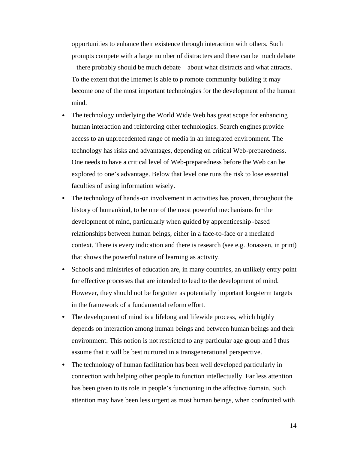opportunities to enhance their existence through interaction with others. Such prompts compete with a large number of distracters and there can be much debate – there probably should be much debate – about what distracts and what attracts. To the extent that the Internet is able to p romote community building it may become one of the most important technologies for the development of the human mind.

- The technology underlying the World Wide Web has great scope for enhancing human interaction and reinforcing other technologies. Search engines provide access to an unprecedented range of media in an integrated environment. The technology has risks and advantages, depending on critical Web-preparedness. One needs to have a critical level of Web-preparedness before the Web can be explored to one's advantage. Below that level one runs the risk to lose essential faculties of using information wisely.
- The technology of hands-on involvement in activities has proven, throughout the history of humankind, to be one of the most powerful mechanisms for the development of mind, particularly when guided by apprenticeship -based relationships between human beings, either in a face-to-face or a mediated context. There is every indication and there is research (see e.g. Jonassen, in print) that shows the powerful nature of learning as activity.
- Schools and ministries of education are, in many countries, an unlikely entry point for effective processes that are intended to lead to the development of mind. However, they should not be forgotten as potentially important long-term targets in the framework of a fundamental reform effort.
- The development of mind is a lifelong and lifewide process, which highly depends on interaction among human beings and between human beings and their environment. This notion is not restricted to any particular age group and I thus assume that it will be best nurtured in a transgenerational perspective.
- The technology of human facilitation has been well developed particularly in connection with helping other people to function intellectually. Far less attention has been given to its role in people's functioning in the affective domain. Such attention may have been less urgent as most human beings, when confronted with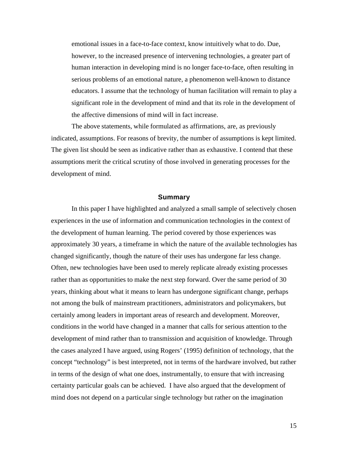emotional issues in a face-to-face context, know intuitively what to do. Due, however, to the increased presence of intervening technologies, a greater part of human interaction in developing mind is no longer face-to-face, often resulting in serious problems of an emotional nature, a phenomenon well-known to distance educators. I assume that the technology of human facilitation will remain to play a significant role in the development of mind and that its role in the development of the affective dimensions of mind will in fact increase.

The above statements, while formulated as affirmations, are, as previously indicated, assumptions. For reasons of brevity, the number of assumptions is kept limited. The given list should be seen as indicative rather than as exhaustive. I contend that these assumptions merit the critical scrutiny of those involved in generating processes for the development of mind.

# **Summary**

In this paper I have highlighted and analyzed a small sample of selectively chosen experiences in the use of information and communication technologies in the context of the development of human learning. The period covered by those experiences was approximately 30 years, a timeframe in which the nature of the available technologies has changed significantly, though the nature of their uses has undergone far less change. Often, new technologies have been used to merely replicate already existing processes rather than as opportunities to make the next step forward. Over the same period of 30 years, thinking about what it means to learn has undergone significant change, perhaps not among the bulk of mainstream practitioners, administrators and policymakers, but certainly among leaders in important areas of research and development. Moreover, conditions in the world have changed in a manner that calls for serious attention to the development of mind rather than to transmission and acquisition of knowledge. Through the cases analyzed I have argued, using Rogers' (1995) definition of technology, that the concept "technology" is best interpreted, not in terms of the hardware involved, but rather in terms of the design of what one does, instrumentally, to ensure that with increasing certainty particular goals can be achieved. I have also argued that the development of mind does not depend on a particular single technology but rather on the imagination

15